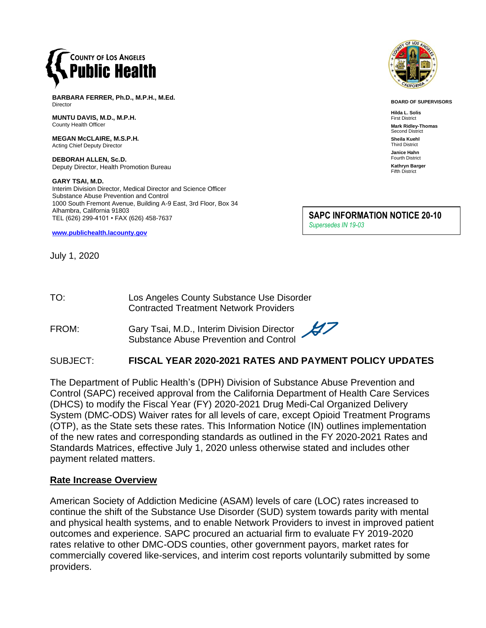

**BARBARA FERRER, Ph.D., M.P.H., M.Ed.** Director

**MUNTU DAVIS, M.D., M.P.H.** County Health Officer

**MEGAN McCLAIRE, M.S.P.H.** Acting Chief Deputy Director

**DEBORAH ALLEN, Sc.D.** Deputy Director, Health Promotion Bureau

#### **GARY TSAI, M.D.**

Interim Division Director, Medical Director and Science Officer Substance Abuse Prevention and Control 1000 South Fremont Avenue, Building A-9 East, 3rd Floor, Box 34 Alhambra, California 91803 TEL (626) 299-4101 • FAX (626) 458-7637

**[www.publichealth.lacounty.gov](http://www.publichealth.lacounty.gov/)**

July 1, 2020



**BOARD OF SUPERVISORS**

**Hilda L. Solis** First District **Mark Ridley-Thomas** Second District **Sheila Kuehl** Third District **Janice Hahn** Fourth District **Kathryn Barger** Fifth District

**SAPC INFORMATION NOTICE 20-10** *Supersedes IN 19-03* 

| TO: | Los Angeles County Substance Use Disorder     |
|-----|-----------------------------------------------|
|     | <b>Contracted Treatment Network Providers</b> |

FROM: Gary Tsai, M.D., Interim Division Director Substance Abuse Prevention and Control

# SUBJECT: **FISCAL YEAR 2020-2021 RATES AND PAYMENT POLICY UPDATES**

The Department of Public Health's (DPH) Division of Substance Abuse Prevention and Control (SAPC) received approval from the California Department of Health Care Services (DHCS) to modify the Fiscal Year (FY) 2020-2021 Drug Medi-Cal Organized Delivery System (DMC-ODS) Waiver rates for all levels of care, except Opioid Treatment Programs (OTP), as the State sets these rates. This Information Notice (IN) outlines implementation of the new rates and corresponding standards as outlined in the FY 2020-2021 Rates and Standards Matrices, effective July 1, 2020 unless otherwise stated and includes other payment related matters.

#### **Rate Increase Overview**

American Society of Addiction Medicine (ASAM) levels of care (LOC) rates increased to continue the shift of the Substance Use Disorder (SUD) system towards parity with mental and physical health systems, and to enable Network Providers to invest in improved patient outcomes and experience. SAPC procured an actuarial firm to evaluate FY 2019-2020 rates relative to other DMC-ODS counties, other government payors, market rates for commercially covered like-services, and interim cost reports voluntarily submitted by some providers.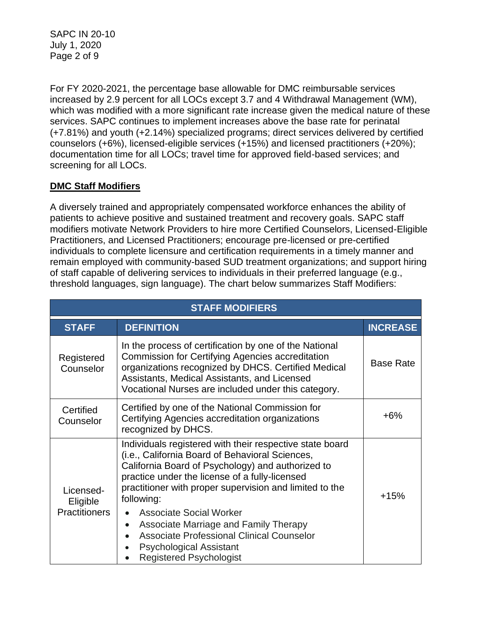SAPC IN 20-10 July 1, 2020 Page 2 of 9

For FY 2020-2021, the percentage base allowable for DMC reimbursable services increased by 2.9 percent for all LOCs except 3.7 and 4 Withdrawal Management (WM), which was modified with a more significant rate increase given the medical nature of these services. SAPC continues to implement increases above the base rate for perinatal (+7.81%) and youth (+2.14%) specialized programs; direct services delivered by certified counselors (+6%), licensed-eligible services (+15%) and licensed practitioners (+20%); documentation time for all LOCs; travel time for approved field-based services; and screening for all LOCs.

# **DMC Staff Modifiers**

A diversely trained and appropriately compensated workforce enhances the ability of patients to achieve positive and sustained treatment and recovery goals. SAPC staff modifiers motivate Network Providers to hire more Certified Counselors, Licensed-Eligible Practitioners, and Licensed Practitioners; encourage pre-licensed or pre-certified individuals to complete licensure and certification requirements in a timely manner and remain employed with community-based SUD treatment organizations; and support hiring of staff capable of delivering services to individuals in their preferred language (e.g., threshold languages, sign language). The chart below summarizes Staff Modifiers:

| <b>STAFF MODIFIERS</b>                        |                                                                                                                                                                                                                                                                                                                                                                                                                                                                                                                          |                  |  |  |
|-----------------------------------------------|--------------------------------------------------------------------------------------------------------------------------------------------------------------------------------------------------------------------------------------------------------------------------------------------------------------------------------------------------------------------------------------------------------------------------------------------------------------------------------------------------------------------------|------------------|--|--|
| <b>STAFF</b>                                  | <b>DEFINITION</b>                                                                                                                                                                                                                                                                                                                                                                                                                                                                                                        | <b>INCREASE</b>  |  |  |
| Registered<br>Counselor                       | In the process of certification by one of the National<br><b>Commission for Certifying Agencies accreditation</b><br>organizations recognized by DHCS. Certified Medical<br>Assistants, Medical Assistants, and Licensed<br>Vocational Nurses are included under this category.                                                                                                                                                                                                                                          | <b>Base Rate</b> |  |  |
| Certified<br>Counselor                        | Certified by one of the National Commission for<br>Certifying Agencies accreditation organizations<br>recognized by DHCS.                                                                                                                                                                                                                                                                                                                                                                                                | +6%              |  |  |
| Licensed-<br>Eligible<br><b>Practitioners</b> | Individuals registered with their respective state board<br>(i.e., California Board of Behavioral Sciences,<br>California Board of Psychology) and authorized to<br>practice under the license of a fully-licensed<br>practitioner with proper supervision and limited to the<br>following:<br><b>Associate Social Worker</b><br>Associate Marriage and Family Therapy<br>$\bullet$<br><b>Associate Professional Clinical Counselor</b><br><b>Psychological Assistant</b><br>$\bullet$<br><b>Registered Psychologist</b> | $+15%$           |  |  |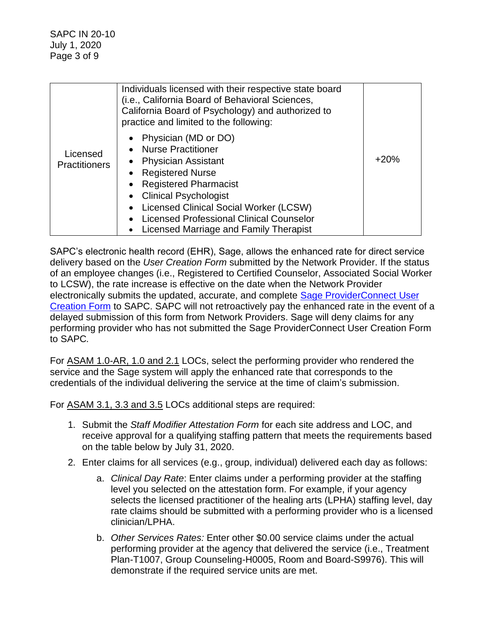|                                  | Individuals licensed with their respective state board<br>(i.e., California Board of Behavioral Sciences,<br>California Board of Psychology) and authorized to<br>practice and limited to the following:                                                                                                                              |        |
|----------------------------------|---------------------------------------------------------------------------------------------------------------------------------------------------------------------------------------------------------------------------------------------------------------------------------------------------------------------------------------|--------|
| Licensed<br><b>Practitioners</b> | Physician (MD or DO)<br><b>Nurse Practitioner</b><br><b>Physician Assistant</b><br><b>Registered Nurse</b><br>$\bullet$<br><b>Registered Pharmacist</b><br><b>Clinical Psychologist</b><br><b>Licensed Clinical Social Worker (LCSW)</b><br><b>Licensed Professional Clinical Counselor</b><br>Licensed Marriage and Family Therapist | $+20%$ |

SAPC's electronic health record (EHR), Sage, allows the enhanced rate for direct service delivery based on the *User Creation Form* submitted by the Network Provider. If the status of an employee changes (i.e., Registered to Certified Counselor, Associated Social Worker to LCSW), the rate increase is effective on the date when the Network Provider electronically submits the updated, accurate, and complete [Sage ProviderConnect User](http://publichealth.lacounty.gov/sapc/Sage/SageInfo.htm)  [Creation Form](http://publichealth.lacounty.gov/sapc/Sage/SageInfo.htm) to SAPC. SAPC will not retroactively pay the enhanced rate in the event of a delayed submission of this form from Network Providers. Sage will deny claims for any performing provider who has not submitted the Sage ProviderConnect User Creation Form to SAPC*.* 

For ASAM 1.0-AR, 1.0 and 2.1 LOCs, select the performing provider who rendered the service and the Sage system will apply the enhanced rate that corresponds to the credentials of the individual delivering the service at the time of claim's submission.

For ASAM 3.1, 3.3 and 3.5 LOCs additional steps are required:

- 1. Submit the *Staff Modifier Attestation Form* for each site address and LOC, and receive approval for a qualifying staffing pattern that meets the requirements based on the table below by July 31, 2020.
- 2. Enter claims for all services (e.g., group, individual) delivered each day as follows:
	- a. *Clinical Day Rate*: Enter claims under a performing provider at the staffing level you selected on the attestation form. For example, if your agency selects the licensed practitioner of the healing arts (LPHA) staffing level, day rate claims should be submitted with a performing provider who is a licensed clinician/LPHA.
	- b. *Other Services Rates:* Enter other \$0.00 service claims under the actual performing provider at the agency that delivered the service (i.e., Treatment Plan-T1007, Group Counseling-H0005, Room and Board-S9976). This will demonstrate if the required service units are met.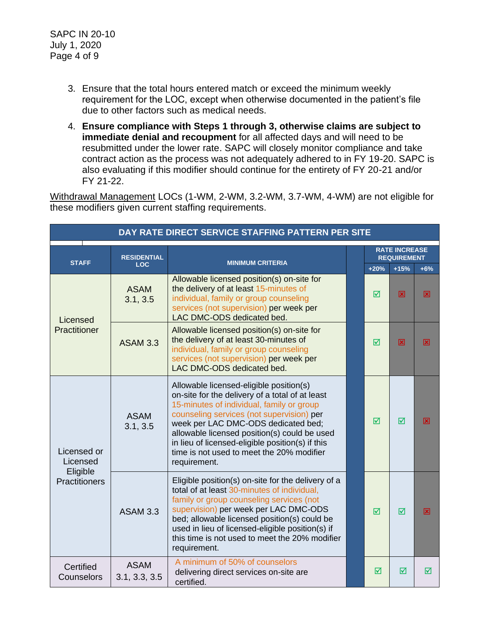- 3. Ensure that the total hours entered match or exceed the minimum weekly requirement for the LOC, except when otherwise documented in the patient's file due to other factors such as medical needs.
- 4. **Ensure compliance with Steps 1 through 3, otherwise claims are subject to immediate denial and recoupment** for all affected days and will need to be resubmitted under the lower rate. SAPC will closely monitor compliance and take contract action as the process was not adequately adhered to in FY 19-20. SAPC is also evaluating if this modifier should continue for the entirety of FY 20-21 and/or FY 21-22.

Withdrawal Management LOCs (1-WM, 2-WM, 3.2-WM, 3.7-WM, 4-WM) are not eligible for these modifiers given current staffing requirements.

| DAY RATE DIRECT SERVICE STAFFING PATTERN PER SITE    |                                               |                                                                                                                                                                                                                                                                                                                                                                                              |  |                                            |        |       |
|------------------------------------------------------|-----------------------------------------------|----------------------------------------------------------------------------------------------------------------------------------------------------------------------------------------------------------------------------------------------------------------------------------------------------------------------------------------------------------------------------------------------|--|--------------------------------------------|--------|-------|
| <b>STAFF</b>                                         | <b>RESIDENTIAL</b><br><b>MINIMUM CRITERIA</b> |                                                                                                                                                                                                                                                                                                                                                                                              |  | <b>RATE INCREASE</b><br><b>REQUIREMENT</b> |        |       |
|                                                      | <b>LOC</b>                                    |                                                                                                                                                                                                                                                                                                                                                                                              |  | $+20%$                                     | $+15%$ | $+6%$ |
| Licensed<br>Practitioner                             | <b>ASAM</b><br>3.1, 3.5                       | Allowable licensed position(s) on-site for<br>the delivery of at least 15-minutes of<br>individual, family or group counseling<br>services (not supervision) per week per<br>LAC DMC-ODS dedicated bed                                                                                                                                                                                       |  | ⊠                                          | 図      | 図     |
|                                                      | <b>ASAM 3.3</b>                               | Allowable licensed position(s) on-site for<br>the delivery of at least 30-minutes of<br>individual, family or group counseling<br>services (not supervision) per week per<br>LAC DMC-ODS dedicated bed.                                                                                                                                                                                      |  | ⊠                                          | 冈      | ⊠     |
| Licensed or<br>Licensed<br>Eligible<br>Practitioners | <b>ASAM</b><br>3.1, 3.5                       | Allowable licensed-eligible position(s)<br>on-site for the delivery of a total of at least<br>15-minutes of individual, family or group<br>counseling services (not supervision) per<br>week per LAC DMC-ODS dedicated bed;<br>allowable licensed position(s) could be used<br>in lieu of licensed-eligible position(s) if this<br>time is not used to meet the 20% modifier<br>requirement. |  | ☑                                          | ☑      | 図     |
|                                                      | <b>ASAM 3.3</b>                               | Eligible position(s) on-site for the delivery of a<br>total of at least 30-minutes of individual,<br>family or group counseling services (not<br>supervision) per week per LAC DMC-ODS<br>bed; allowable licensed position(s) could be<br>used in lieu of licensed-eligible position(s) if<br>this time is not used to meet the 20% modifier<br>requirement.                                 |  | ☑                                          | ☑      | 図     |
| Certified<br>Counselors                              | <b>ASAM</b><br>3.1, 3.3, 3.5                  | A minimum of 50% of counselors<br>delivering direct services on-site are<br>certified.                                                                                                                                                                                                                                                                                                       |  | ⊠                                          | ☑      | ☑     |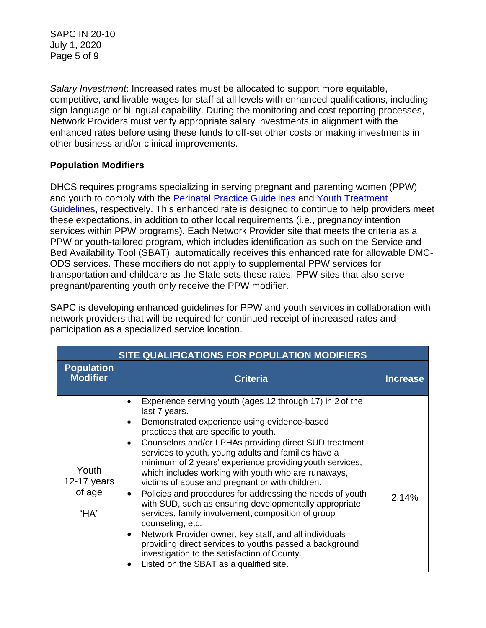SAPC IN 20-10 July 1, 2020 Page 5 of 9

*Salary Investment*: Increased rates must be allocated to support more equitable, competitive, and livable wages for staff at all levels with enhanced qualifications, including sign-language or bilingual capability. During the monitoring and cost reporting processes, Network Providers must verify appropriate salary investments in alignment with the enhanced rates before using these funds to off-set other costs or making investments in other business and/or clinical improvements.

# **Population Modifiers**

DHCS requires programs specializing in serving pregnant and parenting women (PPW) and youth to comply with the [Perinatal Practice Guidelines](https://www.dhcs.ca.gov/individuals/Documents/Perinatal_Practice_Guidelines_FY1819.pdf) and [Youth Treatment](https://www.dhcs.ca.gov/individuals/Documents/Youth_Treatment_Guidelines.pdf)  [Guidelines,](https://www.dhcs.ca.gov/individuals/Documents/Youth_Treatment_Guidelines.pdf) respectively. This enhanced rate is designed to continue to help providers meet these expectations, in addition to other local requirements (i.e., pregnancy intention services within PPW programs). Each Network Provider site that meets the criteria as a PPW or youth-tailored program, which includes identification as such on the Service and Bed Availability Tool (SBAT), automatically receives this enhanced rate for allowable DMC-ODS services. These modifiers do not apply to supplemental PPW services for transportation and childcare as the State sets these rates. PPW sites that also serve pregnant/parenting youth only receive the PPW modifier.

SAPC is developing enhanced guidelines for PPW and youth services in collaboration with network providers that will be required for continued receipt of increased rates and participation as a specialized service location.

| SITE QUALIFICATIONS FOR POPULATION MODIFIERS |                                                                                                                                                                                                                                                                                                                                                                                                                                                                                                                                                                                                                                                                                                                                                                                                                                                                             |                 |  |
|----------------------------------------------|-----------------------------------------------------------------------------------------------------------------------------------------------------------------------------------------------------------------------------------------------------------------------------------------------------------------------------------------------------------------------------------------------------------------------------------------------------------------------------------------------------------------------------------------------------------------------------------------------------------------------------------------------------------------------------------------------------------------------------------------------------------------------------------------------------------------------------------------------------------------------------|-----------------|--|
| <b>Population</b><br><b>Modifier</b>         | <b>Criteria</b>                                                                                                                                                                                                                                                                                                                                                                                                                                                                                                                                                                                                                                                                                                                                                                                                                                                             | <b>Increase</b> |  |
| Youth<br>12-17 years<br>of age<br>$H^*H A''$ | Experience serving youth (ages 12 through 17) in 2 of the<br>last 7 years.<br>Demonstrated experience using evidence-based<br>practices that are specific to youth.<br>Counselors and/or LPHAs providing direct SUD treatment<br>services to youth, young adults and families have a<br>minimum of 2 years' experience providing youth services,<br>which includes working with youth who are runaways,<br>victims of abuse and pregnant or with children.<br>Policies and procedures for addressing the needs of youth<br>with SUD, such as ensuring developmentally appropriate<br>services, family involvement, composition of group<br>counseling, etc.<br>Network Provider owner, key staff, and all individuals<br>providing direct services to youths passed a background<br>investigation to the satisfaction of County.<br>Listed on the SBAT as a qualified site. | 2.14%           |  |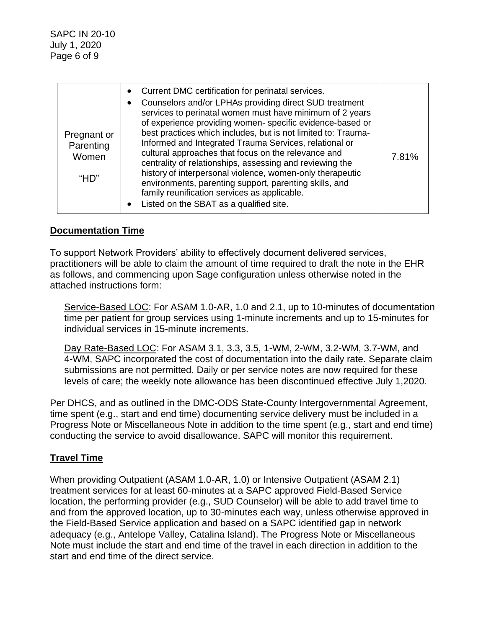| Pregnant or<br>Parenting<br>Women<br>H <sup>2</sup> | Current DMC certification for perinatal services.<br>$\bullet$<br>Counselors and/or LPHAs providing direct SUD treatment<br>services to perinatal women must have minimum of 2 years<br>of experience providing women-specific evidence-based or<br>best practices which includes, but is not limited to: Trauma-<br>Informed and Integrated Trauma Services, relational or<br>cultural approaches that focus on the relevance and<br>centrality of relationships, assessing and reviewing the<br>history of interpersonal violence, women-only therapeutic<br>environments, parenting support, parenting skills, and<br>family reunification services as applicable.<br>Listed on the SBAT as a qualified site.<br>$\bullet$ | 7.81% |
|-----------------------------------------------------|-------------------------------------------------------------------------------------------------------------------------------------------------------------------------------------------------------------------------------------------------------------------------------------------------------------------------------------------------------------------------------------------------------------------------------------------------------------------------------------------------------------------------------------------------------------------------------------------------------------------------------------------------------------------------------------------------------------------------------|-------|
|-----------------------------------------------------|-------------------------------------------------------------------------------------------------------------------------------------------------------------------------------------------------------------------------------------------------------------------------------------------------------------------------------------------------------------------------------------------------------------------------------------------------------------------------------------------------------------------------------------------------------------------------------------------------------------------------------------------------------------------------------------------------------------------------------|-------|

# **Documentation Time**

To support Network Providers' ability to effectively document delivered services, practitioners will be able to claim the amount of time required to draft the note in the EHR as follows, and commencing upon Sage configuration unless otherwise noted in the attached instructions form:

Service-Based LOC: For ASAM 1.0-AR, 1.0 and 2.1, up to 10-minutes of documentation time per patient for group services using 1-minute increments and up to 15-minutes for individual services in 15-minute increments.

Day Rate-Based LOC: For ASAM 3.1, 3.3, 3.5, 1-WM, 2-WM, 3.2-WM, 3.7-WM, and 4-WM, SAPC incorporated the cost of documentation into the daily rate. Separate claim submissions are not permitted. Daily or per service notes are now required for these levels of care; the weekly note allowance has been discontinued effective July 1,2020.

Per DHCS, and as outlined in the DMC-ODS State-County Intergovernmental Agreement, time spent (e.g., start and end time) documenting service delivery must be included in a Progress Note or Miscellaneous Note in addition to the time spent (e.g., start and end time) conducting the service to avoid disallowance. SAPC will monitor this requirement.

# **Travel Time**

When providing Outpatient (ASAM 1.0-AR, 1.0) or Intensive Outpatient (ASAM 2.1) treatment services for at least 60-minutes at a SAPC approved Field-Based Service location, the performing provider (e.g., SUD Counselor) will be able to add travel time to and from the approved location, up to 30-minutes each way, unless otherwise approved in the Field-Based Service application and based on a SAPC identified gap in network adequacy (e.g., Antelope Valley, Catalina Island). The Progress Note or Miscellaneous Note must include the start and end time of the travel in each direction in addition to the start and end time of the direct service.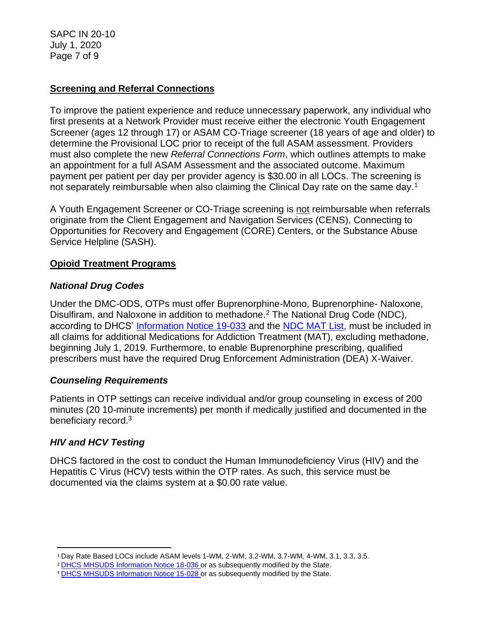SAPC IN 20-10 July 1, 2020 Page 7 of 9

# **Screening and Referral Connections**

To improve the patient experience and reduce unnecessary paperwork, any individual who first presents at a Network Provider must receive either the electronic Youth Engagement Screener (ages 12 through 17) or ASAM CO-Triage screener (18 years of age and older) to determine the Provisional LOC prior to receipt of the full ASAM assessment. Providers must also complete the new *Referral Connections Form*, which outlines attempts to make an appointment for a full ASAM Assessment and the associated outcome. Maximum payment per patient per day per provider agency is \$30.00 in all LOCs. The screening is not separately reimbursable when also claiming the Clinical Day rate on the same day.<sup>1</sup>

A Youth Engagement Screener or CO-Triage screening is not reimbursable when referrals originate from the Client Engagement and Navigation Services (CENS), Connecting to Opportunities for Recovery and Engagement (CORE) Centers, or the Substance Abuse Service Helpline (SASH).

# **Opioid Treatment Programs**

# *National Drug Codes*

Under the DMC-ODS, OTPs must offer Buprenorphine-Mono, Buprenorphine- Naloxone, Disulfiram, and Naloxone in addition to methadone.<sup>2</sup> The National Drug Code (NDC), according to DHCS' [Information Notice 19-033 a](https://www.dhcs.ca.gov/formsandpubs/Documents/MHSUDS%20Information%20Notices/MHSUDS_Information_Notices_2019/MHSUDS-Information-Notice-19-033-NDC-MAT-FINAL.pdf)nd the [NDC MAT List,](https://www.dhcs.ca.gov/formsandpubs/Documents/MHSUDS%20Information%20Notices/MHSUDS_Information_Notices_2019/MHSUDS-Information-Notice-19-033-Exhibit-A-NDC-List-for-DMC-ODS-MAT-Services.pdf) must be included in all claims for additional Medications for Addiction Treatment (MAT), excluding methadone, beginning July 1, 2019. Furthermore, to enable Buprenorphine prescribing, qualified prescribers must have the required Drug Enforcement Administration (DEA) X-Waiver.

# *Counseling Requirements*

Patients in OTP settings can receive individual and/or group counseling in excess of 200 minutes (20 10-minute increments) per month if medically justified and documented in the beneficiary record.<sup>3</sup>

# *HIV and HCV Testing*

DHCS factored in the cost to conduct the Human Immunodeficiency Virus (HIV) and the Hepatitis C Virus (HCV) tests within the OTP rates. As such, this service must be documented via the claims system at a \$0.00 rate value.

<sup>1</sup> Day Rate Based LOCs include ASAM levels 1-WM, 2-WM, 3.2-WM, 3.7-WM, 4-WM, 3.1, 3.3, 3.5.

<sup>2</sup> [DHCS MHSUDS Information Notice 18-036 o](https://www.dhcs.ca.gov/formsandpubs/Documents/MHSUDS%20Information%20Notices/MHSUDS_Information_Notices_2018/MHSUDS_Information_Notice_18_036_MAT_FY_1819.pdf)r as subsequently modified by the State.

<sup>&</sup>lt;sup>3</sup> [DHCS MHSUDS Information Notice 15-028 o](https://www.dhcs.ca.gov/formsandpubs/Documents/Info%20Notice%202015/MHSUDS_15_028_NTP.pdf)r as subsequently modified by the State.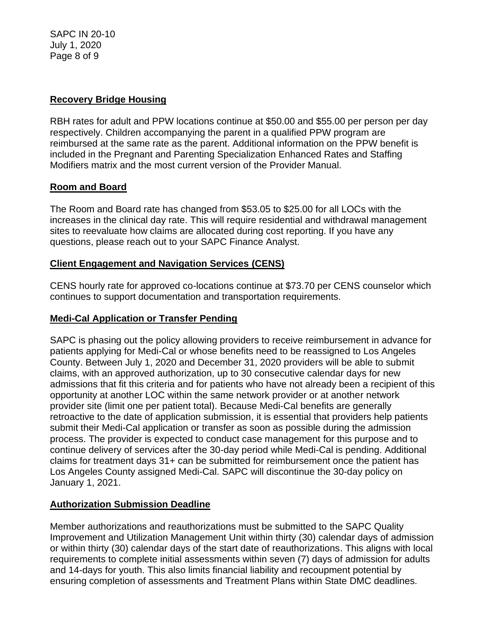SAPC IN 20-10 July 1, 2020 Page 8 of 9

### **Recovery Bridge Housing**

RBH rates for adult and PPW locations continue at \$50.00 and \$55.00 per person per day respectively. Children accompanying the parent in a qualified PPW program are reimbursed at the same rate as the parent. Additional information on the PPW benefit is included in the Pregnant and Parenting Specialization Enhanced Rates and Staffing Modifiers matrix and the most current version of the Provider Manual.

#### **Room and Board**

The Room and Board rate has changed from \$53.05 to \$25.00 for all LOCs with the increases in the clinical day rate. This will require residential and withdrawal management sites to reevaluate how claims are allocated during cost reporting. If you have any questions, please reach out to your SAPC Finance Analyst.

# **Client Engagement and Navigation Services (CENS)**

CENS hourly rate for approved co-locations continue at \$73.70 per CENS counselor which continues to support documentation and transportation requirements.

### **Medi-Cal Application or Transfer Pending**

SAPC is phasing out the policy allowing providers to receive reimbursement in advance for patients applying for Medi-Cal or whose benefits need to be reassigned to Los Angeles County. Between July 1, 2020 and December 31, 2020 providers will be able to submit claims, with an approved authorization, up to 30 consecutive calendar days for new admissions that fit this criteria and for patients who have not already been a recipient of this opportunity at another LOC within the same network provider or at another network provider site (limit one per patient total). Because Medi-Cal benefits are generally retroactive to the date of application submission, it is essential that providers help patients submit their Medi-Cal application or transfer as soon as possible during the admission process. The provider is expected to conduct case management for this purpose and to continue delivery of services after the 30-day period while Medi-Cal is pending. Additional claims for treatment days 31+ can be submitted for reimbursement once the patient has Los Angeles County assigned Medi-Cal. SAPC will discontinue the 30-day policy on January 1, 2021.

# **Authorization Submission Deadline**

Member authorizations and reauthorizations must be submitted to the SAPC Quality Improvement and Utilization Management Unit within thirty (30) calendar days of admission or within thirty (30) calendar days of the start date of reauthorizations. This aligns with local requirements to complete initial assessments within seven (7) days of admission for adults and 14-days for youth. This also limits financial liability and recoupment potential by ensuring completion of assessments and Treatment Plans within State DMC deadlines.